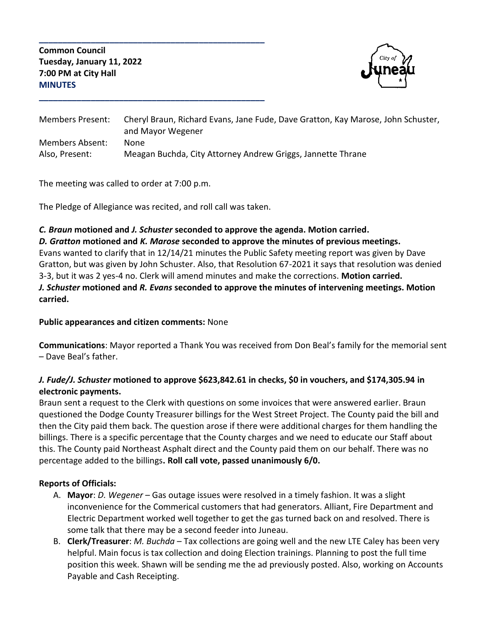**Common Council Tuesday, January 11, 2022 7:00 PM at City Hall MINUTES**



| <b>Members Present:</b> | Cheryl Braun, Richard Evans, Jane Fude, Dave Gratton, Kay Marose, John Schuster,<br>and Mayor Wegener |
|-------------------------|-------------------------------------------------------------------------------------------------------|
| <b>Members Absent:</b>  | None                                                                                                  |
| Also, Present:          | Meagan Buchda, City Attorney Andrew Griggs, Jannette Thrane                                           |

The meeting was called to order at 7:00 p.m.

The Pledge of Allegiance was recited, and roll call was taken.

**\_\_\_\_\_\_\_\_\_\_\_\_\_\_\_\_\_\_\_\_\_\_\_\_\_\_\_\_\_\_\_\_\_\_\_\_\_\_\_\_\_\_\_\_\_\_\_\_**

**\_\_\_\_\_\_\_\_\_\_\_\_\_\_\_\_\_\_\_\_\_\_\_\_\_\_\_\_\_\_\_\_\_\_\_\_\_\_\_\_\_\_\_\_\_\_\_\_**

#### *C. Braun* **motioned and** *J. Schuster* **seconded to approve the agenda. Motion carried.**

*D. Gratton* **motioned and** *K. Marose* **seconded to approve the minutes of previous meetings.** Evans wanted to clarify that in 12/14/21 minutes the Public Safety meeting report was given by Dave Gratton, but was given by John Schuster. Also, that Resolution 67-2021 it says that resolution was denied 3-3, but it was 2 yes-4 no. Clerk will amend minutes and make the corrections. **Motion carried.** *J. Schuster* **motioned and** *R. Evans* **seconded to approve the minutes of intervening meetings. Motion carried.**

### **Public appearances and citizen comments:** None

**Communications**: Mayor reported a Thank You was received from Don Beal's family for the memorial sent – Dave Beal's father.

## *J. Fude/J. Schuster* **motioned to approve \$623,842.61 in checks, \$0 in vouchers, and \$174,305.94 in electronic payments.**

Braun sent a request to the Clerk with questions on some invoices that were answered earlier. Braun questioned the Dodge County Treasurer billings for the West Street Project. The County paid the bill and then the City paid them back. The question arose if there were additional charges for them handling the billings. There is a specific percentage that the County charges and we need to educate our Staff about this. The County paid Northeast Asphalt direct and the County paid them on our behalf. There was no percentage added to the billings**. Roll call vote, passed unanimously 6/0.**

### **Reports of Officials:**

- A. **Mayor**: *D. Wegener* Gas outage issues were resolved in a timely fashion. It was a slight inconvenience for the Commerical customers that had generators. Alliant, Fire Department and Electric Department worked well together to get the gas turned back on and resolved. There is some talk that there may be a second feeder into Juneau.
- B. **Clerk/Treasurer**: *M. Buchda* Tax collections are going well and the new LTE Caley has been very helpful. Main focus is tax collection and doing Election trainings. Planning to post the full time position this week. Shawn will be sending me the ad previously posted. Also, working on Accounts Payable and Cash Receipting.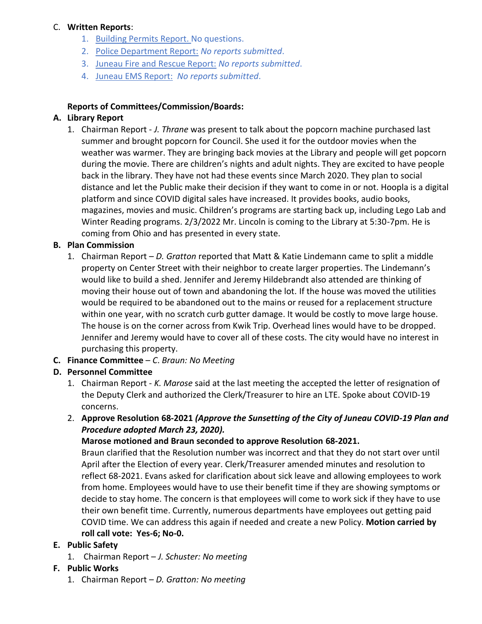#### C. **Written Reports**:

- 1. Building Permits Report. No questions.
- 2. Police Department Report: *No reports submitted*.
- 3. Juneau Fire and Rescue Report: *No reports submitted*.
- 4. Juneau EMS Report: *No reports submitted*.

#### **Reports of Committees/Commission/Boards:**

### **A. Library Report**

1. Chairman Report - *J. Thrane* was present to talk about the popcorn machine purchased last summer and brought popcorn for Council. She used it for the outdoor movies when the weather was warmer. They are bringing back movies at the Library and people will get popcorn during the movie. There are children's nights and adult nights. They are excited to have people back in the library. They have not had these events since March 2020. They plan to social distance and let the Public make their decision if they want to come in or not. Hoopla is a digital platform and since COVID digital sales have increased. It provides books, audio books, magazines, movies and music. Children's programs are starting back up, including Lego Lab and Winter Reading programs. 2/3/2022 Mr. Lincoln is coming to the Library at 5:30-7pm. He is coming from Ohio and has presented in every state.

### **B. Plan Commission**

1. Chairman Report – *D. Gratton* reported that Matt & Katie Lindemann came to split a middle property on Center Street with their neighbor to create larger properties. The Lindemann's would like to build a shed. Jennifer and Jeremy Hildebrandt also attended are thinking of moving their house out of town and abandoning the lot. If the house was moved the utilities would be required to be abandoned out to the mains or reused for a replacement structure within one year, with no scratch curb gutter damage. It would be costly to move large house. The house is on the corner across from Kwik Trip. Overhead lines would have to be dropped. Jennifer and Jeremy would have to cover all of these costs. The city would have no interest in purchasing this property.

### **C. Finance Committee** – *C*. *Braun: No Meeting*

### **D. Personnel Committee**

- 1. Chairman Report *K. Marose* said at the last meeting the accepted the letter of resignation of the Deputy Clerk and authorized the Clerk/Treasurer to hire an LTE. Spoke about COVID-19 concerns.
- 2. **Approve Resolution 68-2021** *(Approve the Sunsetting of the City of Juneau COVID-19 Plan and Procedure adopted March 23, 2020).*

### **Marose motioned and Braun seconded to approve Resolution 68-2021.**

Braun clarified that the Resolution number was incorrect and that they do not start over until April after the Election of every year. Clerk/Treasurer amended minutes and resolution to reflect 68-2021. Evans asked for clarification about sick leave and allowing employees to work from home. Employees would have to use their benefit time if they are showing symptoms or decide to stay home. The concern is that employees will come to work sick if they have to use their own benefit time. Currently, numerous departments have employees out getting paid COVID time. We can address this again if needed and create a new Policy. **Motion carried by roll call vote: Yes-6; No-0.**

# **E. Public Safety**

1. Chairman Report – *J. Schuster: No meeting*

# **F. Public Works**

1. Chairman Report – *D. Gratton: No meeting*